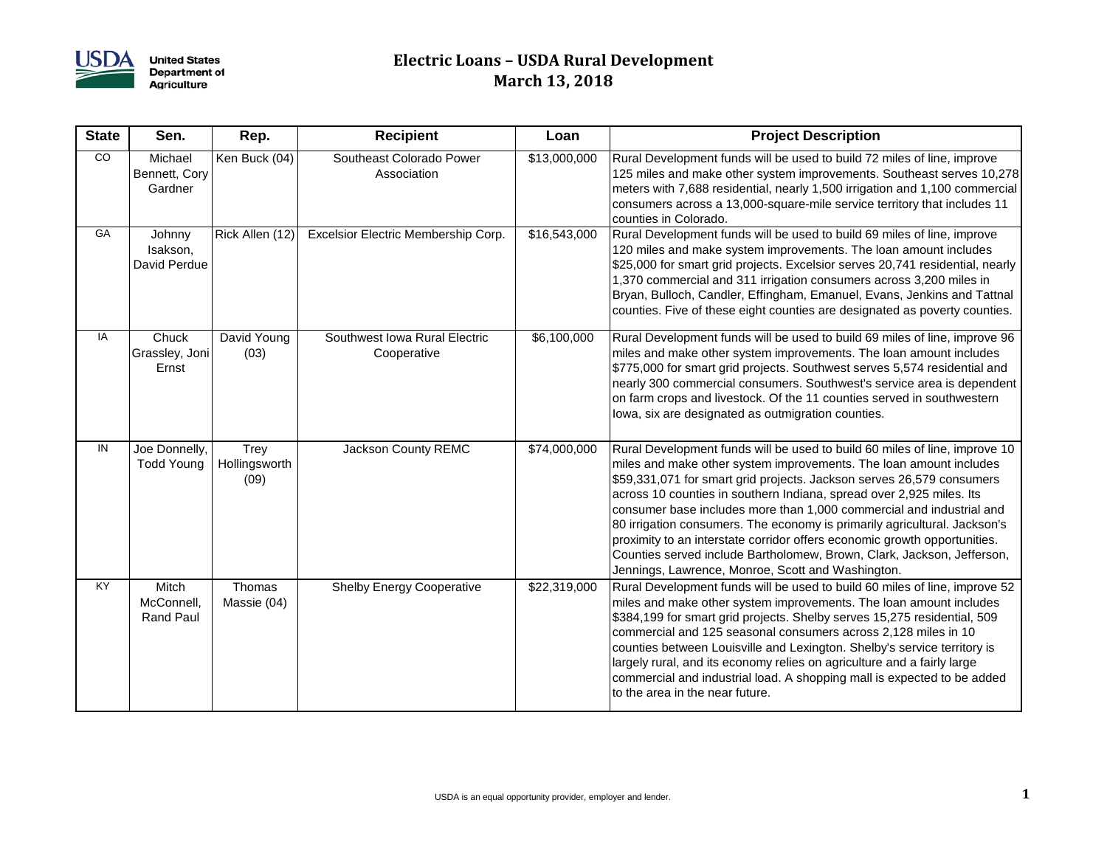

**United States<br>Department of<br>Agriculture** 

## **Electric Loans – USDA Rural Development March 13, 2018**

| <b>State</b>    | Sen.                                    | Rep.                          | <b>Recipient</b>                             | Loan         | <b>Project Description</b>                                                                                                                                                                                                                                                                                                                                                                                                                                                                                                                                                                                                                                         |
|-----------------|-----------------------------------------|-------------------------------|----------------------------------------------|--------------|--------------------------------------------------------------------------------------------------------------------------------------------------------------------------------------------------------------------------------------------------------------------------------------------------------------------------------------------------------------------------------------------------------------------------------------------------------------------------------------------------------------------------------------------------------------------------------------------------------------------------------------------------------------------|
| <b>CO</b>       | Michael<br>Bennett, Cory<br>Gardner     | Ken Buck (04)                 | Southeast Colorado Power<br>Association      | \$13,000,000 | Rural Development funds will be used to build 72 miles of line, improve<br>125 miles and make other system improvements. Southeast serves 10,278<br>meters with 7,688 residential, nearly 1,500 irrigation and 1,100 commercial<br>consumers across a 13,000-square-mile service territory that includes 11<br>counties in Colorado.                                                                                                                                                                                                                                                                                                                               |
| GA              | Johnny<br>Isakson,<br>David Perdue      | Rick Allen (12)               | Excelsior Electric Membership Corp.          | \$16,543,000 | Rural Development funds will be used to build 69 miles of line, improve<br>120 miles and make system improvements. The loan amount includes<br>\$25,000 for smart grid projects. Excelsior serves 20,741 residential, nearly<br>1,370 commercial and 311 irrigation consumers across 3,200 miles in<br>Bryan, Bulloch, Candler, Effingham, Emanuel, Evans, Jenkins and Tattnal<br>counties. Five of these eight counties are designated as poverty counties.                                                                                                                                                                                                       |
| IA              | Chuck<br>Grassley, Joni<br>Ernst        | David Young<br>(03)           | Southwest Iowa Rural Electric<br>Cooperative | \$6,100,000  | Rural Development funds will be used to build 69 miles of line, improve 96<br>miles and make other system improvements. The loan amount includes<br>\$775,000 for smart grid projects. Southwest serves 5,574 residential and<br>nearly 300 commercial consumers. Southwest's service area is dependent<br>on farm crops and livestock. Of the 11 counties served in southwestern<br>lowa, six are designated as outmigration counties.                                                                                                                                                                                                                            |
| IN              | Joe Donnelly,<br><b>Todd Young</b>      | Trey<br>Hollingsworth<br>(09) | Jackson County REMC                          | \$74,000,000 | Rural Development funds will be used to build 60 miles of line, improve 10<br>miles and make other system improvements. The loan amount includes<br>\$59,331,071 for smart grid projects. Jackson serves 26,579 consumers<br>across 10 counties in southern Indiana, spread over 2,925 miles. Its<br>consumer base includes more than 1,000 commercial and industrial and<br>80 irrigation consumers. The economy is primarily agricultural. Jackson's<br>proximity to an interstate corridor offers economic growth opportunities.<br>Counties served include Bartholomew, Brown, Clark, Jackson, Jefferson,<br>Jennings, Lawrence, Monroe, Scott and Washington. |
| $\overline{KY}$ | Mitch<br>McConnell,<br><b>Rand Paul</b> | Thomas<br>Massie (04)         | <b>Shelby Energy Cooperative</b>             | \$22,319,000 | Rural Development funds will be used to build 60 miles of line, improve 52<br>miles and make other system improvements. The loan amount includes<br>\$384,199 for smart grid projects. Shelby serves 15,275 residential, 509<br>commercial and 125 seasonal consumers across 2,128 miles in 10<br>counties between Louisville and Lexington. Shelby's service territory is<br>largely rural, and its economy relies on agriculture and a fairly large<br>commercial and industrial load. A shopping mall is expected to be added<br>to the area in the near future.                                                                                                |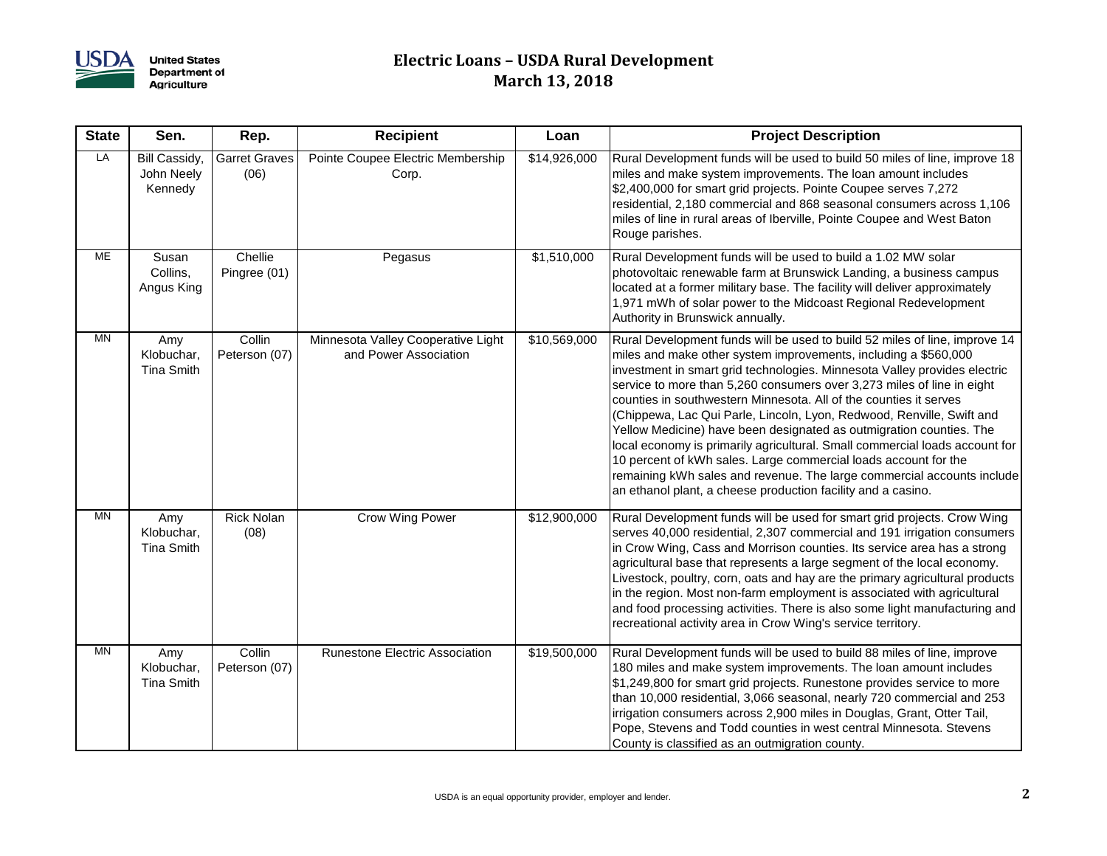

## **Electric Loans – USDA Rural Development March 13, 2018**

| <b>State</b> | Sen.                                   | Rep.                         | <b>Recipient</b>                                            | Loan         | <b>Project Description</b>                                                                                                                                                                                                                                                                                                                                                                                                                                                                                                                                                                                                                                                                                                                                                                                            |
|--------------|----------------------------------------|------------------------------|-------------------------------------------------------------|--------------|-----------------------------------------------------------------------------------------------------------------------------------------------------------------------------------------------------------------------------------------------------------------------------------------------------------------------------------------------------------------------------------------------------------------------------------------------------------------------------------------------------------------------------------------------------------------------------------------------------------------------------------------------------------------------------------------------------------------------------------------------------------------------------------------------------------------------|
| LA           | Bill Cassidy,<br>John Neely<br>Kennedy | <b>Garret Graves</b><br>(06) | Pointe Coupee Electric Membership<br>Corp.                  | \$14,926,000 | Rural Development funds will be used to build 50 miles of line, improve 18<br>miles and make system improvements. The loan amount includes<br>\$2,400,000 for smart grid projects. Pointe Coupee serves 7,272<br>residential, 2,180 commercial and 868 seasonal consumers across 1,106<br>miles of line in rural areas of Iberville, Pointe Coupee and West Baton<br>Rouge parishes.                                                                                                                                                                                                                                                                                                                                                                                                                                  |
| МE           | Susan<br>Collins,<br>Angus King        | Chellie<br>Pingree (01)      | Pegasus                                                     | \$1,510,000  | Rural Development funds will be used to build a 1.02 MW solar<br>photovoltaic renewable farm at Brunswick Landing, a business campus<br>located at a former military base. The facility will deliver approximately<br>1,971 mWh of solar power to the Midcoast Regional Redevelopment<br>Authority in Brunswick annually.                                                                                                                                                                                                                                                                                                                                                                                                                                                                                             |
| <b>MN</b>    | Amy<br>Klobuchar,<br><b>Tina Smith</b> | Collin<br>Peterson (07)      | Minnesota Valley Cooperative Light<br>and Power Association | \$10,569,000 | Rural Development funds will be used to build 52 miles of line, improve 14<br>miles and make other system improvements, including a \$560,000<br>investment in smart grid technologies. Minnesota Valley provides electric<br>service to more than 5,260 consumers over 3,273 miles of line in eight<br>counties in southwestern Minnesota. All of the counties it serves<br>(Chippewa, Lac Qui Parle, Lincoln, Lyon, Redwood, Renville, Swift and<br>Yellow Medicine) have been designated as outmigration counties. The<br>local economy is primarily agricultural. Small commercial loads account for<br>10 percent of kWh sales. Large commercial loads account for the<br>remaining kWh sales and revenue. The large commercial accounts include<br>an ethanol plant, a cheese production facility and a casino. |
| <b>MN</b>    | Amy<br>Klobuchar,<br><b>Tina Smith</b> | <b>Rick Nolan</b><br>(08)    | Crow Wing Power                                             | \$12,900,000 | Rural Development funds will be used for smart grid projects. Crow Wing<br>serves 40,000 residential, 2,307 commercial and 191 irrigation consumers<br>in Crow Wing, Cass and Morrison counties. Its service area has a strong<br>agricultural base that represents a large segment of the local economy.<br>Livestock, poultry, corn, oats and hay are the primary agricultural products<br>in the region. Most non-farm employment is associated with agricultural<br>and food processing activities. There is also some light manufacturing and<br>recreational activity area in Crow Wing's service territory.                                                                                                                                                                                                    |
| MN           | Amy<br>Klobuchar,<br><b>Tina Smith</b> | Collin<br>Peterson (07)      | Runestone Electric Association                              | \$19,500,000 | Rural Development funds will be used to build 88 miles of line, improve<br>180 miles and make system improvements. The loan amount includes<br>\$1,249,800 for smart grid projects. Runestone provides service to more<br>than 10,000 residential, 3,066 seasonal, nearly 720 commercial and 253<br>irrigation consumers across 2,900 miles in Douglas, Grant, Otter Tail,<br>Pope, Stevens and Todd counties in west central Minnesota. Stevens<br>County is classified as an outmigration county.                                                                                                                                                                                                                                                                                                                   |